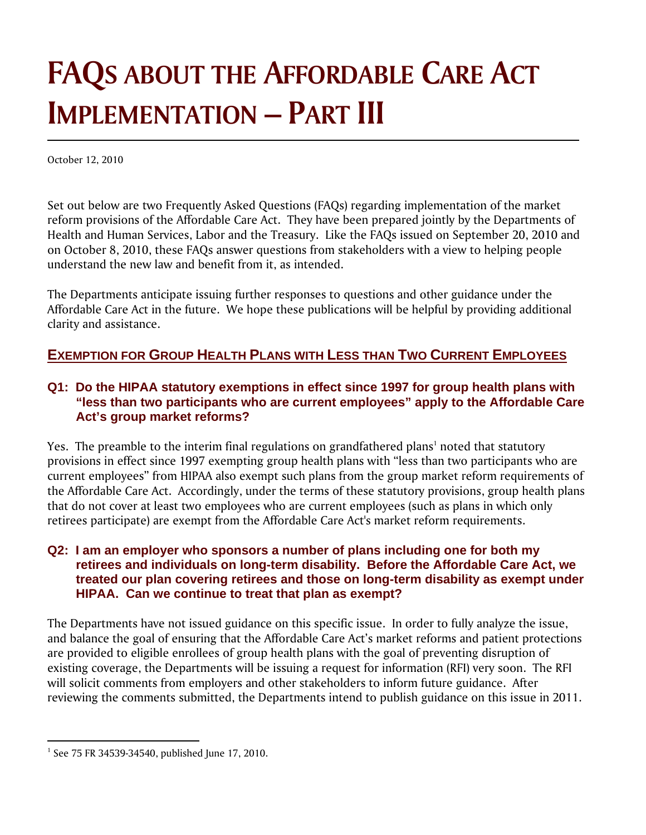## **FAQS ABOUT THE AFFORDABLE CARE ACT IMPLEMENTATION – PART III**

October 12, 2010

Set out below are two Frequently Asked Questions (FAQs) regarding implementation of the market reform provisions of the Affordable Care Act. They have been prepared jointly by the Departments of Health and Human Services, Labor and the Treasury. Like the FAQs issued on September 20, 2010 and on October 8, 2010, these FAQs answer questions from stakeholders with a view to helping people understand the new law and benefit from it, as intended.

The Departments anticipate issuing further responses to questions and other guidance under the Affordable Care Act in the future. We hope these publications will be helpful by providing additional clarity and assistance.

## **EXEMPTION FOR GROUP HEALTH PLANS WITH LESS THAN TWO CURRENT EMPLOYEES**

## **Q1: Do the HIPAA statutory exemptions in effect since 1997 for group health plans with "less than two participants who are current employees" apply to the Affordable Care Act's group market reforms?**

Yes. The preamble to the interim final regulations on grandfathered plans $^1$  noted that statutory provisions in effect since 1997 exempting group health plans with "less than two participants who are current employees" from HIPAA also exempt such plans from the group market reform requirements of the Affordable Care Act. Accordingly, under the terms of these statutory provisions, group health plans that do not cover at least two employees who are current employees (such as plans in which only retirees participate) are exempt from the Affordable Care Act's market reform requirements.

## **Q2: I am an employer who sponsors a number of plans including one for both my retirees and individuals on long-term disability. Before the Affordable Care Act, we treated our plan covering retirees and those on long-term disability as exempt under HIPAA. Can we continue to treat that plan as exempt?**

The Departments have not issued guidance on this specific issue. In order to fully analyze the issue, and balance the goal of ensuring that the Affordable Care Act's market reforms and patient protections are provided to eligible enrollees of group health plans with the goal of preventing disruption of existing coverage, the Departments will be issuing a request for information (RFI) very soon. The RFI will solicit comments from employers and other stakeholders to inform future guidance. After reviewing the comments submitted, the Departments intend to publish guidance on this issue in 2011.

<sup>&</sup>lt;sup>1</sup> See 75 FR 34539-34540, published June 17, 2010.